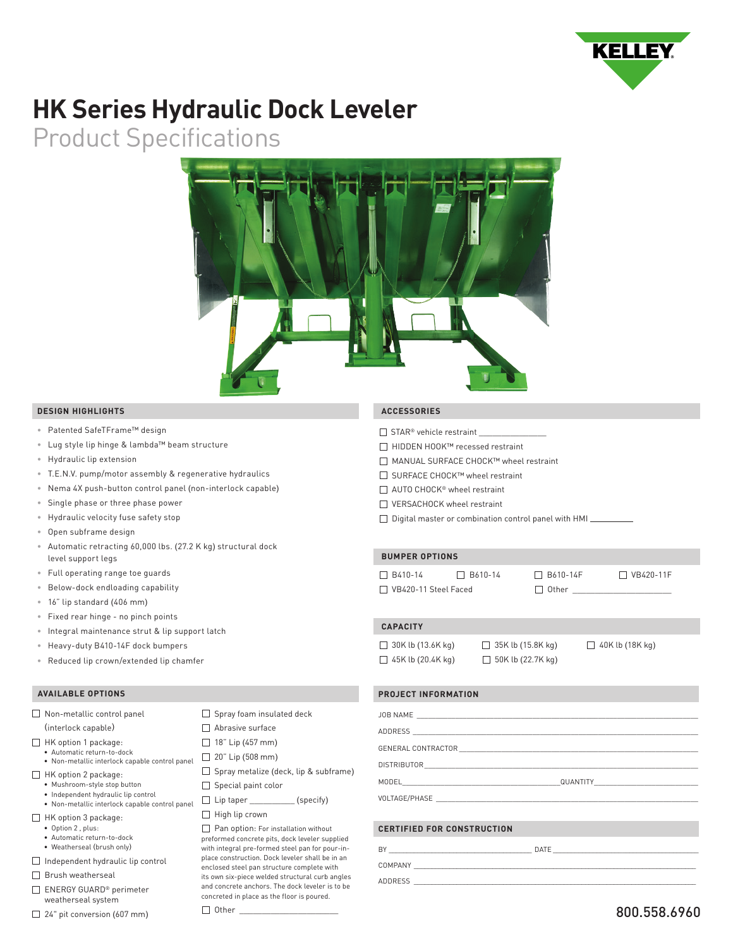

# **HK Series Hydraulic Dock Leveler**

Product Specifications



## **DESIGN HIGHLIGHTS**

- Patented SafeTFrame™ design
- Lug style lip hinge & lambda™ beam structure
- Hydraulic lip extension
- T.E.N.V. pump/motor assembly & regenerative hydraulics
- Nema 4X push-button control panel (non-interlock capable)
- Single phase or three phase power
- Hydraulic velocity fuse safety stop
- Open subframe design
- Automatic retracting 60,000 lbs. (27.2 K kg) structural dock level support legs
- Full operating range toe guards
- Below-dock endloading capability
- 16" lip standard (406 mm)
- Fixed rear hinge no pinch points
- Integral maintenance strut & lip support latch
- Heavy-duty B410-14F dock bumpers
- Reduced lip crown/extended lip chamfer

# **AVAILABLE OPTIONS**

| Non-metallic control panel                                                                            | $\Box$ Spray foam insulated deck                                                                                                          |
|-------------------------------------------------------------------------------------------------------|-------------------------------------------------------------------------------------------------------------------------------------------|
| (interlock capable)                                                                                   | Abrasive surface                                                                                                                          |
| HK option 1 package:                                                                                  | $\Box$ 18" Lip (457 mm)                                                                                                                   |
| · Automatic return-to-dock<br>• Non-metallic interlock capable control panel                          | $\Box$ 20" Lip (508 mm)                                                                                                                   |
| HK option 2 package:<br>· Mushroom-style stop button                                                  | $\Box$ Spray metalize (deck, lip & subframe)                                                                                              |
|                                                                                                       | $\Box$ Special paint color                                                                                                                |
| • Independent hydraulic lip control<br>• Non-metallic interlock capable control panel                 | $\Box$ Lip taper (specify)                                                                                                                |
| HK option 3 package:<br>• Option 2, plus:<br>· Automatic return-to-dock<br>• Weatherseal (brush only) | $\Box$ High lip crown                                                                                                                     |
|                                                                                                       | Pan option: For installation without<br>preformed concrete pits, dock leveler supplied<br>with integral pre-formed steel pan for pour-in- |
|                                                                                                       | place construction. Dock leveler shall be in an                                                                                           |

- Independent hydraulic lip control
- Brush weatherseal
- ENERGY GUARD® perimeter weatherseal system
- 24" pit conversion (607 mm)

MANUAL SURFACE CHOCK™ wheel restraint

 **ACCESSORIES**

 $\Box$  STAR® vehicle restraint

SURFACE CHOCK™ wheel restraint

HIDDEN HOOK™ recessed restraint

- □ AUTO CHOCK<sup>®</sup> wheel restraint
- □ VERSACHOCK wheel restraint
- $\Box$  Digital master or combination control panel with HMI $\Box$

# **BUMPER OPTIONS**

| □ B410-14                   | $\Box$ B610-14 | $\Box$ B610-14F | $\Box$ VB420-11F |
|-----------------------------|----------------|-----------------|------------------|
| $\Box$ VB420-11 Steel Faced |                | Other I         |                  |

#### **CAPACITY**

enclosed steel pan structure complete with its own six-piece welded structural curb angles and concrete anchors. The dock leveler is to be concreted in place as the floor is poured.

 $\Box$  Other

 $\Box$  30K lb (13.6K kg)  $\Box$  35K lb (15.8K kg)  $\Box$  $\Box$  45K lb (20.4K kg)  $\Box$  50K lb (22.7K kg)

|  | 1 40K lb (18K kg) |  |
|--|-------------------|--|
|  |                   |  |

### **PROJECT INFORMATION**

| <b>CERTIFIED FOR CONSTRUCTION</b> |  |
|-----------------------------------|--|

| BY             | DATE |
|----------------|------|
| COMPANY        |      |
| <b>ADDRESS</b> |      |